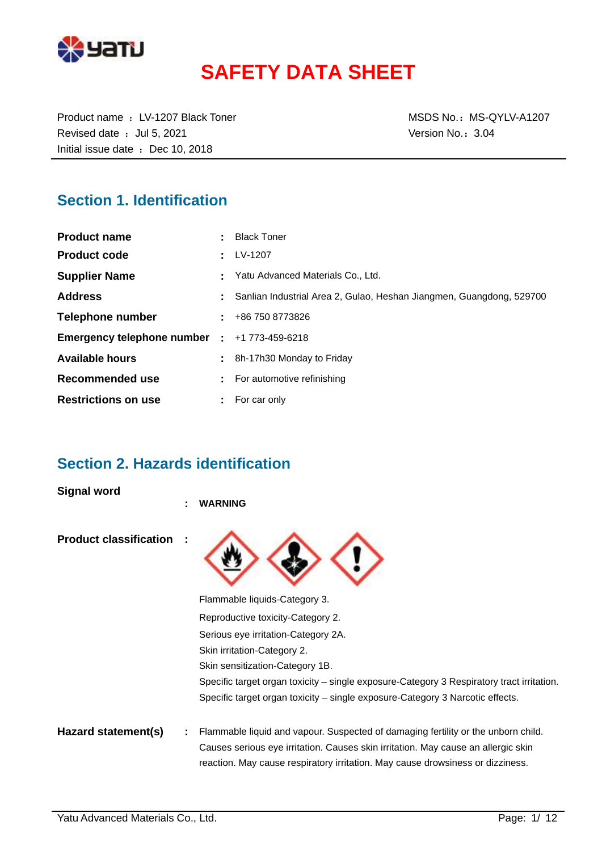

# **SAFETY DATA SHEET**

Product name : LV-1207 Black Toner MSDS No.: MS-QYLV-A1207 Revised date : Jul 5, 2021 Case of the Version No.: 3.04 Initial issue date : Dec 10, 2018

### **Section 1. Identification**

| <b>Product name</b>          |    | <b>Black Toner</b>                                                   |
|------------------------------|----|----------------------------------------------------------------------|
| <b>Product code</b>          |    | $\pm$ LV-1207                                                        |
| <b>Supplier Name</b>         |    | Yatu Advanced Materials Co., Ltd.                                    |
| <b>Address</b>               |    | Sanlian Industrial Area 2, Gulao, Heshan Jiangmen, Guangdong, 529700 |
| <b>Telephone number</b>      |    | $\pm 486$ 750 8773826                                                |
| Emergency telephone number : |    | +1 773-459-6218                                                      |
| <b>Available hours</b>       | ÷. | 8h-17h30 Monday to Friday                                            |
| Recommended use              |    | For automotive refinishing                                           |
| <b>Restrictions on use</b>   | ÷. | For car only                                                         |

### **Section 2. Hazards identification**

**Signal word**

|                               | ٠ | <b>WARNING</b>                                                                                                                                                      |
|-------------------------------|---|---------------------------------------------------------------------------------------------------------------------------------------------------------------------|
| <b>Product classification</b> |   |                                                                                                                                                                     |
|                               |   | Flammable liquids-Category 3.                                                                                                                                       |
|                               |   | Reproductive toxicity-Category 2.                                                                                                                                   |
|                               |   | Serious eye irritation-Category 2A.                                                                                                                                 |
|                               |   | Skin irritation-Category 2.                                                                                                                                         |
|                               |   | Skin sensitization-Category 1B.                                                                                                                                     |
|                               |   | Specific target organ toxicity – single exposure-Category 3 Respiratory tract irritation.                                                                           |
|                               |   | Specific target organ toxicity – single exposure-Category 3 Narcotic effects.                                                                                       |
| Hazard statement(s)           |   | Flammable liquid and vapour. Suspected of damaging fertility or the unborn child.                                                                                   |
|                               |   | Causes serious eye irritation. Causes skin irritation. May cause an allergic skin<br>reaction. May cause respiratory irritation. May cause drowsiness or dizziness. |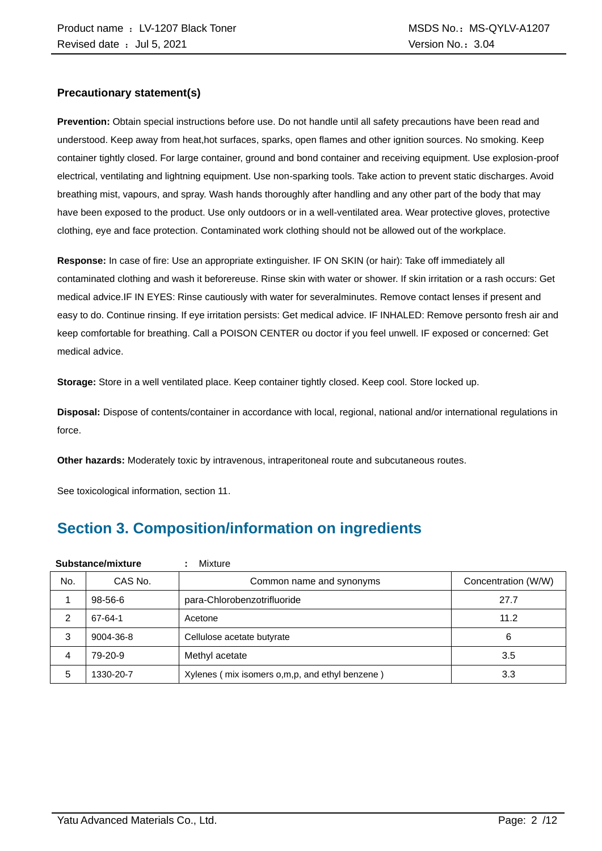#### **Precautionary statement(s)**

**Prevention:** Obtain special instructions before use. Do not handle until all safety precautions have been read and understood. Keep away from heat,hot surfaces, sparks, open flames and other ignition sources. No smoking. Keep container tightly closed. For large container, ground and bond container and receiving equipment. Use explosion-proof electrical, ventilating and lightning equipment. Use non-sparking tools. Take action to prevent static discharges. Avoid breathing mist, vapours, and spray. Wash hands thoroughly after handling and any other part of the body that may have been exposed to the product. Use only outdoors or in a well-ventilated area. Wear protective gloves, protective clothing, eye and face protection. Contaminated work clothing should not be allowed out of the workplace.

**Response:** In case of fire: Use an appropriate extinguisher. IF ON SKIN (or hair): Take off immediately all contaminated clothing and wash it beforereuse. Rinse skin with water or shower. If skin irritation or a rash occurs: Get medical advice.IF IN EYES: Rinse cautiously with water for severalminutes. Remove contact lenses if present and easy to do. Continue rinsing. If eye irritation persists: Get medical advice. IF INHALED: Remove personto fresh air and keep comfortable for breathing. Call a POISON CENTER ou doctor if you feel unwell. IF exposed or concerned: Get medical advice.

**Storage:** Store in a well ventilated place. Keep container tightly closed. Keep cool. Store locked up.

**Disposal:** Dispose of contents/container in accordance with local, regional, national and/or international regulations in force.

**Other hazards:** Moderately toxic by intravenous, intraperitoneal route and subcutaneous routes.

See toxicological information, section 11.

## **Section 3. Composition/information on ingredients**

|     | Substance/mixture                   | Mixture                                        |                     |
|-----|-------------------------------------|------------------------------------------------|---------------------|
| No. | CAS No.<br>Common name and synonyms |                                                | Concentration (W/W) |
|     | $98 - 56 - 6$                       | para-Chlorobenzotrifluoride                    | 27.7                |
| 2   | 67-64-1                             | Acetone                                        | 11.2                |
| 3   | 9004-36-8                           | Cellulose acetate butyrate                     | 6                   |
| 4   | 79-20-9                             | Methyl acetate                                 | 3.5                 |
| 5   | 1330-20-7                           | Xylenes (mix isomers o,m,p, and ethyl benzene) | 3.3                 |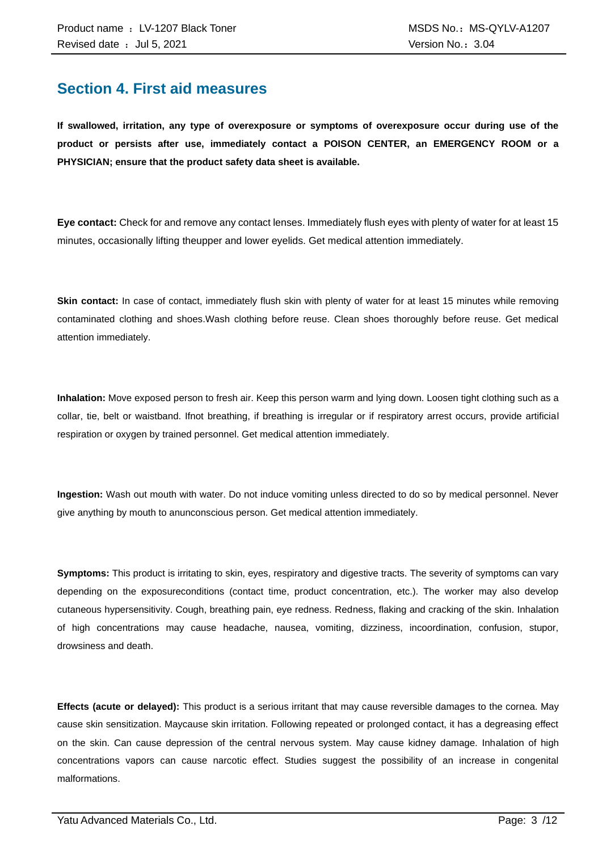### **Section 4. First aid measures**

**If swallowed, irritation, any type of overexposure or symptoms of overexposure occur during use of the product or persists after use, immediately contact a POISON CENTER, an EMERGENCY ROOM or a PHYSICIAN; ensure that the product safety data sheet is available.**

**Eye contact:** Check for and remove any contact lenses. Immediately flush eyes with plenty of water for at least 15 minutes, occasionally lifting theupper and lower eyelids. Get medical attention immediately.

**Skin contact:** In case of contact, immediately flush skin with plenty of water for at least 15 minutes while removing contaminated clothing and shoes.Wash clothing before reuse. Clean shoes thoroughly before reuse. Get medical attention immediately.

**Inhalation:** Move exposed person to fresh air. Keep this person warm and lying down. Loosen tight clothing such as a collar, tie, belt or waistband. Ifnot breathing, if breathing is irregular or if respiratory arrest occurs, provide artificial respiration or oxygen by trained personnel. Get medical attention immediately.

**Ingestion:** Wash out mouth with water. Do not induce vomiting unless directed to do so by medical personnel. Never give anything by mouth to anunconscious person. Get medical attention immediately.

**Symptoms:** This product is irritating to skin, eyes, respiratory and digestive tracts. The severity of symptoms can vary depending on the exposureconditions (contact time, product concentration, etc.). The worker may also develop cutaneous hypersensitivity. Cough, breathing pain, eye redness. Redness, flaking and cracking of the skin. Inhalation of high concentrations may cause headache, nausea, vomiting, dizziness, incoordination, confusion, stupor, drowsiness and death.

**Effects (acute or delayed):** This product is a serious irritant that may cause reversible damages to the cornea. May cause skin sensitization. Maycause skin irritation. Following repeated or prolonged contact, it has a degreasing effect on the skin. Can cause depression of the central nervous system. May cause kidney damage. Inhalation of high concentrations vapors can cause narcotic effect. Studies suggest the possibility of an increase in congenital malformations.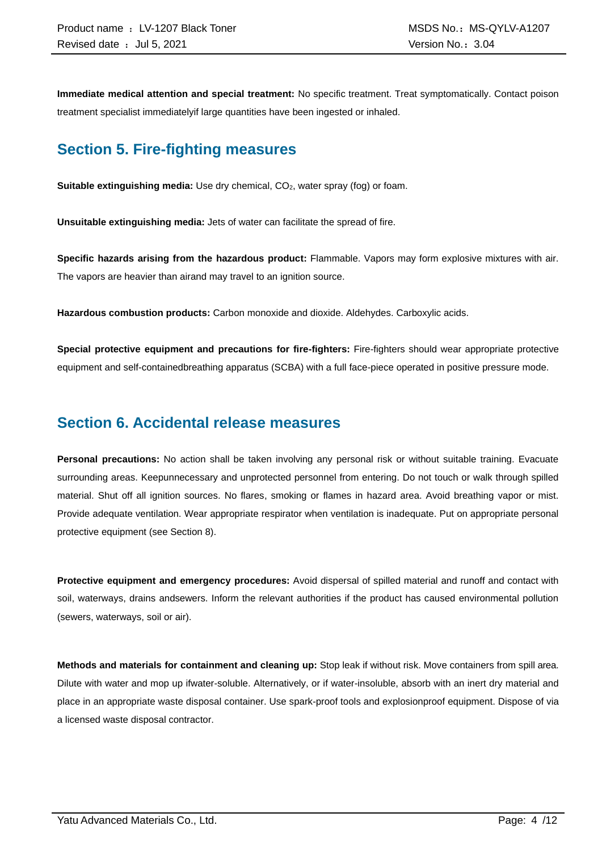**Immediate medical attention and special treatment:** No specific treatment. Treat symptomatically. Contact poison treatment specialist immediatelyif large quantities have been ingested or inhaled.

### **Section 5. Fire-fighting measures**

**Suitable extinguishing media:** Use dry chemical, CO<sub>2</sub>, water spray (fog) or foam.

**Unsuitable extinguishing media:** Jets of water can facilitate the spread of fire.

**Specific hazards arising from the hazardous product:** Flammable. Vapors may form explosive mixtures with air. The vapors are heavier than airand may travel to an ignition source.

**Hazardous combustion products:** Carbon monoxide and dioxide. Aldehydes. Carboxylic acids.

**Special protective equipment and precautions for fire-fighters:** Fire-fighters should wear appropriate protective equipment and self-containedbreathing apparatus (SCBA) with a full face-piece operated in positive pressure mode.

### **Section 6. Accidental release measures**

**Personal precautions:** No action shall be taken involving any personal risk or without suitable training. Evacuate surrounding areas. Keepunnecessary and unprotected personnel from entering. Do not touch or walk through spilled material. Shut off all ignition sources. No flares, smoking or flames in hazard area. Avoid breathing vapor or mist. Provide adequate ventilation. Wear appropriate respirator when ventilation is inadequate. Put on appropriate personal protective equipment (see Section 8).

**Protective equipment and emergency procedures:** Avoid dispersal of spilled material and runoff and contact with soil, waterways, drains andsewers. Inform the relevant authorities if the product has caused environmental pollution (sewers, waterways, soil or air).

**Methods and materials for containment and cleaning up:** Stop leak if without risk. Move containers from spill area. Dilute with water and mop up ifwater-soluble. Alternatively, or if water-insoluble, absorb with an inert dry material and place in an appropriate waste disposal container. Use spark-proof tools and explosionproof equipment. Dispose of via a licensed waste disposal contractor.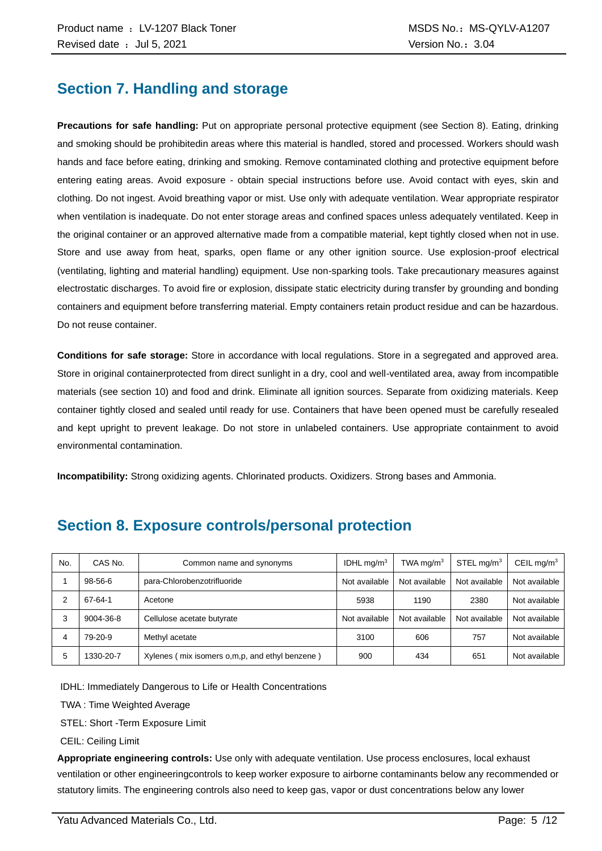### **Section 7. Handling and storage**

**Precautions for safe handling:** Put on appropriate personal protective equipment (see Section 8). Eating, drinking and smoking should be prohibitedin areas where this material is handled, stored and processed. Workers should wash hands and face before eating, drinking and smoking. Remove contaminated clothing and protective equipment before entering eating areas. Avoid exposure - obtain special instructions before use. Avoid contact with eyes, skin and clothing. Do not ingest. Avoid breathing vapor or mist. Use only with adequate ventilation. Wear appropriate respirator when ventilation is inadequate. Do not enter storage areas and confined spaces unless adequately ventilated. Keep in the original container or an approved alternative made from a compatible material, kept tightly closed when not in use. Store and use away from heat, sparks, open flame or any other ignition source. Use explosion-proof electrical (ventilating, lighting and material handling) equipment. Use non-sparking tools. Take precautionary measures against electrostatic discharges. To avoid fire or explosion, dissipate static electricity during transfer by grounding and bonding containers and equipment before transferring material. Empty containers retain product residue and can be hazardous. Do not reuse container.

**Conditions for safe storage:** Store in accordance with local regulations. Store in a segregated and approved area. Store in original containerprotected from direct sunlight in a dry, cool and well-ventilated area, away from incompatible materials (see section 10) and food and drink. Eliminate all ignition sources. Separate from oxidizing materials. Keep container tightly closed and sealed until ready for use. Containers that have been opened must be carefully resealed and kept upright to prevent leakage. Do not store in unlabeled containers. Use appropriate containment to avoid environmental contamination.

**Incompatibility:** Strong oxidizing agents. Chlorinated products. Oxidizers. Strong bases and Ammonia.

| No. | CAS No.   | Common name and synonyms                         | IDHL $mq/m3$  | TWA mg/m $3$  | STEL mg/ $m3$ | CEIL mg/m <sup>3</sup> |
|-----|-----------|--------------------------------------------------|---------------|---------------|---------------|------------------------|
|     | 98-56-6   | para-Chlorobenzotrifluoride                      | Not available | Not available | Not available | Not available          |
|     | 67-64-1   | Acetone                                          | 5938          | 1190          | 2380          | Not available          |
|     | 9004-36-8 | Cellulose acetate butyrate                       | Not available | Not available | Not available | Not available          |
| 4   | 79-20-9   | Methyl acetate                                   | 3100          | 606           | 757           | Not available          |
| 5   | 1330-20-7 | Xylenes (mix isomers o, m, p, and ethyl benzene) | 900           | 434           | 651           | Not available          |

### **Section 8. Exposure controls/personal protection**

IDHL: Immediately Dangerous to Life or Health Concentrations

TWA : Time Weighted Average

STEL: Short -Term Exposure Limit

CEIL: Ceiling Limit

**Appropriate engineering controls:** Use only with adequate ventilation. Use process enclosures, local exhaust ventilation or other engineeringcontrols to keep worker exposure to airborne contaminants below any recommended or statutory limits. The engineering controls also need to keep gas, vapor or dust concentrations below any lower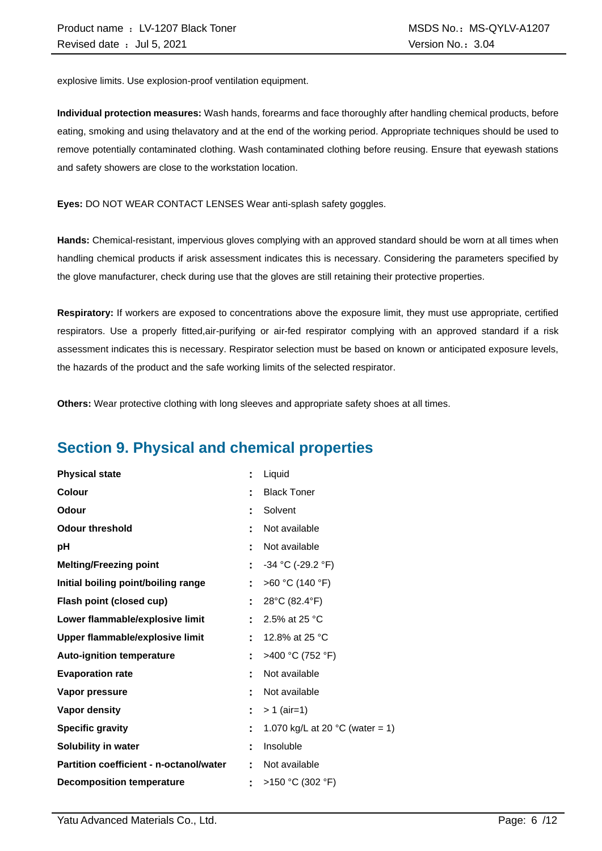explosive limits. Use explosion-proof ventilation equipment.

**Individual protection measures:** Wash hands, forearms and face thoroughly after handling chemical products, before eating, smoking and using thelavatory and at the end of the working period. Appropriate techniques should be used to remove potentially contaminated clothing. Wash contaminated clothing before reusing. Ensure that eyewash stations and safety showers are close to the workstation location.

**Eyes:** DO NOT WEAR CONTACT LENSES Wear anti-splash safety goggles.

**Hands:** Chemical-resistant, impervious gloves complying with an approved standard should be worn at all times when handling chemical products if arisk assessment indicates this is necessary. Considering the parameters specified by the glove manufacturer, check during use that the gloves are still retaining their protective properties.

**Respiratory:** If workers are exposed to concentrations above the exposure limit, they must use appropriate, certified respirators. Use a properly fitted,air-purifying or air-fed respirator complying with an approved standard if a risk assessment indicates this is necessary. Respirator selection must be based on known or anticipated exposure levels, the hazards of the product and the safe working limits of the selected respirator.

**Others:** Wear protective clothing with long sleeves and appropriate safety shoes at all times.

### **Section 9. Physical and chemical properties**

| <b>Physical state</b>                          | ÷                         | Liquid                                    |
|------------------------------------------------|---------------------------|-------------------------------------------|
| <b>Colour</b>                                  | ٠                         | <b>Black Toner</b>                        |
| Odour                                          | ÷                         | Solvent                                   |
| <b>Odour threshold</b>                         |                           | Not available                             |
| рH                                             | t                         | Not available                             |
| <b>Melting/Freezing point</b>                  | $\overline{\mathbb{Z}}$ . | $-34$ °C (-29.2 °F)                       |
| Initial boiling point/boiling range            | t.                        | >60 °C (140 °F)                           |
| Flash point (closed cup)                       | ř.                        | 28°C (82.4°F)                             |
| Lower flammable/explosive limit                | È.                        | 2.5% at 25 °C                             |
| Upper flammable/explosive limit                | ÷.                        | 12.8% at 25 °C                            |
| <b>Auto-ignition temperature</b>               | ÷.                        | >400 °C (752 °F)                          |
| <b>Evaporation rate</b>                        | t                         | Not available                             |
| Vapor pressure                                 |                           | Not available                             |
| <b>Vapor density</b>                           | ÷                         | $> 1$ (air=1)                             |
| <b>Specific gravity</b>                        | Ē.                        | 1.070 kg/L at 20 $^{\circ}$ C (water = 1) |
| Solubility in water                            | ٠                         | Insoluble                                 |
| <b>Partition coefficient - n-octanol/water</b> | Ē.                        | Not available                             |
| <b>Decomposition temperature</b>               |                           | >150 °C (302 °F)                          |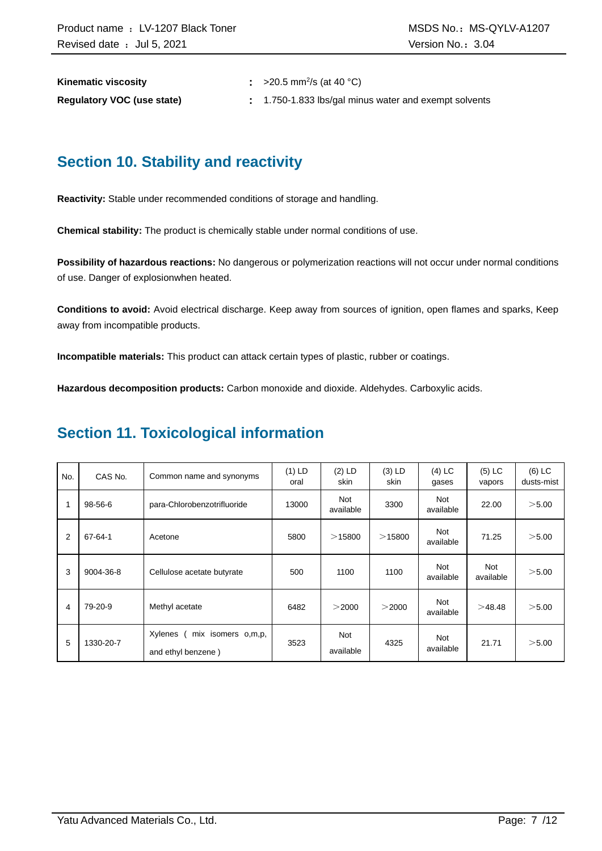| <b>Kinematic viscosity</b>        | $\therefore$ >20.5 mm <sup>2</sup> /s (at 40 °C) |
|-----------------------------------|--------------------------------------------------|
| <b>Regulatory VOC (use state)</b> | : 1.750-1.833 lbs/gal mir                        |

**Regulator:** 1.750-1.833 lbs/gal minus water and exempt solvents

### **Section 10. Stability and reactivity**

**Reactivity:** Stable under recommended conditions of storage and handling.

**Chemical stability:** The product is chemically stable under normal conditions of use.

**Possibility of hazardous reactions:** No dangerous or polymerization reactions will not occur under normal conditions of use. Danger of explosionwhen heated.

**Conditions to avoid:** Avoid electrical discharge. Keep away from sources of ignition, open flames and sparks, Keep away from incompatible products.

**Incompatible materials:** This product can attack certain types of plastic, rubber or coatings.

**Hazardous decomposition products:** Carbon monoxide and dioxide. Aldehydes. Carboxylic acids.

### **Section 11. Toxicological information**

| No. | CAS No.   | Common name and synonyms                            | $(1)$ LD<br>oral | $(2)$ LD<br>skin | $(3)$ LD<br>skin | $(4)$ LC<br>gases       | $(5)$ LC<br>vapors | $(6)$ LC<br>dusts-mist |
|-----|-----------|-----------------------------------------------------|------------------|------------------|------------------|-------------------------|--------------------|------------------------|
| 1   | 98-56-6   | para-Chlorobenzotrifluoride                         | 13000            | Not<br>available | 3300             | <b>Not</b><br>available | 22.00              | >5.00                  |
| 2   | 67-64-1   | Acetone                                             | 5800             | >15800           | >15800           | Not<br>available        | 71.25              | > 5.00                 |
| 3   | 9004-36-8 | Cellulose acetate butyrate                          | 500              | 1100             | 1100             | <b>Not</b><br>available | Not<br>available   | >5.00                  |
| 4   | 79-20-9   | Methyl acetate                                      | 6482             | $>$ 2000         | >2000            | Not<br>available        | >48.48             | > 5.00                 |
| 5   | 1330-20-7 | Xylenes<br>mix isomers o,m,p,<br>and ethyl benzene) | 3523             | Not<br>available | 4325             | Not<br>available        | 21.71              | $>$ 5.00               |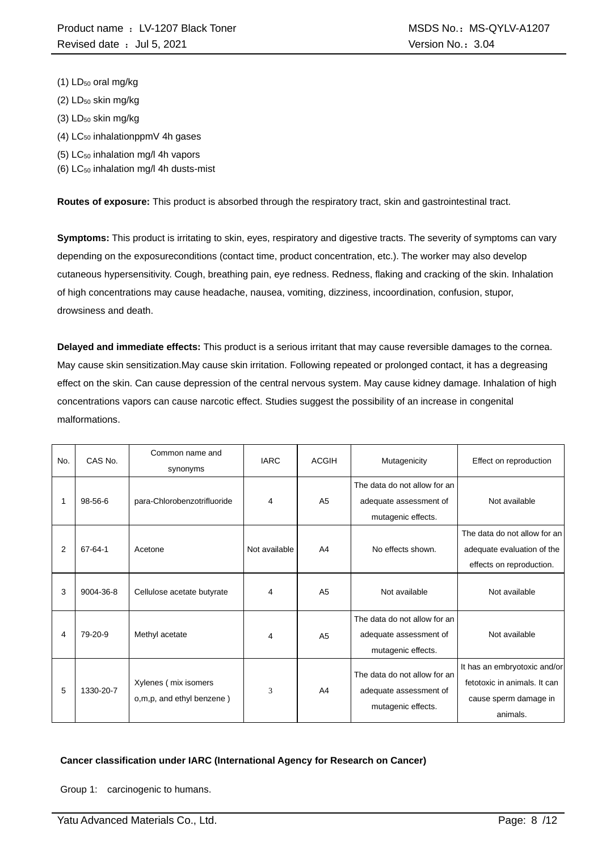- (1) LD<sub>50</sub> oral mg/kg
- $(2)$  LD<sub>50</sub> skin mg/kg
- (3) LD<sub>50</sub> skin mg/kg
- $(4)$  LC<sub>50</sub> inhalationppmV 4h gases
- (5) LC<sup>50</sup> inhalation mg/l 4h vapors
- (6)  $LC_{50}$  inhalation mg/l 4h dusts-mist

**Routes of exposure:** This product is absorbed through the respiratory tract, skin and gastrointestinal tract.

**Symptoms:** This product is irritating to skin, eyes, respiratory and digestive tracts. The severity of symptoms can vary depending on the exposureconditions (contact time, product concentration, etc.). The worker may also develop cutaneous hypersensitivity. Cough, breathing pain, eye redness. Redness, flaking and cracking of the skin. Inhalation of high concentrations may cause headache, nausea, vomiting, dizziness, incoordination, confusion, stupor, drowsiness and death.

**Delayed and immediate effects:** This product is a serious irritant that may cause reversible damages to the cornea. May cause skin sensitization.May cause skin irritation. Following repeated or prolonged contact, it has a degreasing effect on the skin. Can cause depression of the central nervous system. May cause kidney damage. Inhalation of high concentrations vapors can cause narcotic effect. Studies suggest the possibility of an increase in congenital malformations.

| No. | CAS No.   | Common name and<br>synonyms                       | <b>IARC</b>   | <b>ACGIH</b>   | Mutagenicity                                                                 | Effect on reproduction                                                                            |
|-----|-----------|---------------------------------------------------|---------------|----------------|------------------------------------------------------------------------------|---------------------------------------------------------------------------------------------------|
|     | 98-56-6   | para-Chlorobenzotrifluoride                       | 4             | A <sub>5</sub> | The data do not allow for an<br>adequate assessment of<br>mutagenic effects. | Not available                                                                                     |
| 2   | 67-64-1   | Acetone                                           | Not available | A <sub>4</sub> | No effects shown.                                                            | The data do not allow for an<br>adequate evaluation of the<br>effects on reproduction.            |
| 3   | 9004-36-8 | Cellulose acetate butyrate                        | 4             | A <sub>5</sub> | Not available                                                                | Not available                                                                                     |
| 4   | 79-20-9   | Methyl acetate                                    | 4             | A <sub>5</sub> | The data do not allow for an<br>adequate assessment of<br>mutagenic effects. | Not available                                                                                     |
| 5   | 1330-20-7 | Xylenes (mix isomers<br>o,m,p, and ethyl benzene) | 3             | A <sub>4</sub> | The data do not allow for an<br>adequate assessment of<br>mutagenic effects. | It has an embryotoxic and/or<br>fetotoxic in animals. It can<br>cause sperm damage in<br>animals. |

#### **Cancer classification under IARC (International Agency for Research on Cancer)**

Group 1: carcinogenic to humans.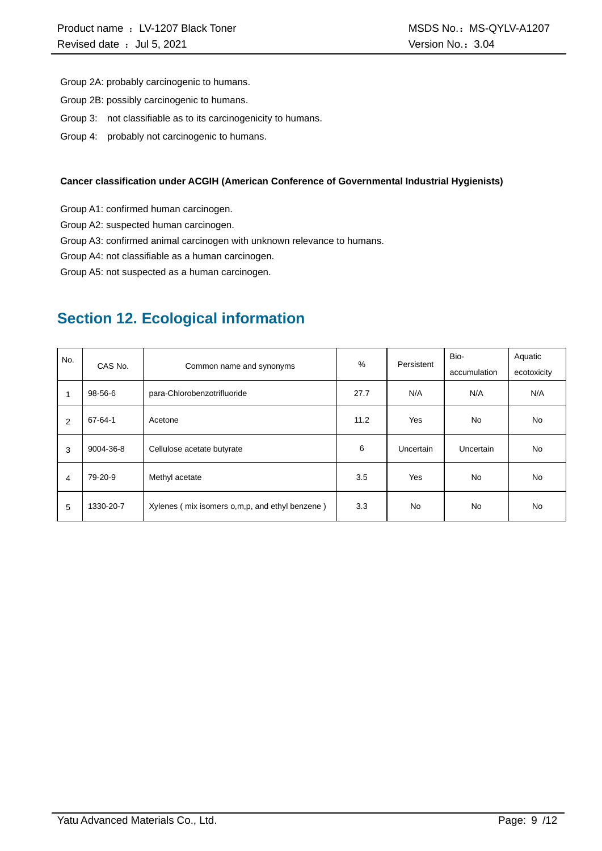Group 2A: probably carcinogenic to humans.

- Group 2B: possibly carcinogenic to humans.
- Group 3: not classifiable as to its carcinogenicity to humans.
- Group 4: probably not carcinogenic to humans.

#### **Cancer classification under ACGIH (American Conference of Governmental Industrial Hygienists)**

Group A1: confirmed human carcinogen.

Group A2: suspected human carcinogen.

Group A3: confirmed animal carcinogen with unknown relevance to humans.

Group A4: not classifiable as a human carcinogen.

Group A5: not suspected as a human carcinogen.

### **Section 12. Ecological information**

| No. | CAS No.   | Common name and synonyms                         | %    | Persistent       | Bio-             | Aquatic     |
|-----|-----------|--------------------------------------------------|------|------------------|------------------|-------------|
|     |           |                                                  |      |                  | accumulation     | ecotoxicity |
|     | 98-56-6   | para-Chlorobenzotrifluoride                      | 27.7 | N/A              | N/A              | N/A         |
| 2   | 67-64-1   | Acetone                                          | 11.2 | Yes              | No.              | No.         |
| 3   | 9004-36-8 | Cellulose acetate butyrate                       | 6    | <b>Uncertain</b> | <b>Uncertain</b> | No.         |
| 4   | 79-20-9   | Methyl acetate                                   | 3.5  | <b>Yes</b>       | No.              | No.         |
| 5   | 1330-20-7 | Xylenes (mix isomers o, m, p, and ethyl benzene) | 3.3  | <b>No</b>        | <b>No</b>        | <b>No</b>   |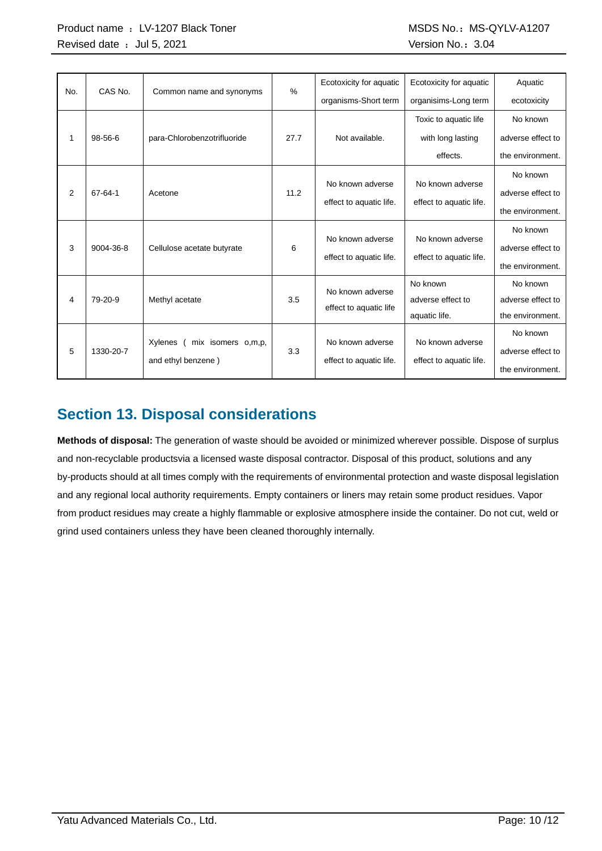| No. | CAS No.       | Common name and synonyms        | $\%$ | Ecotoxicity for aquatic | Ecotoxicity for aquatic | Aquatic           |
|-----|---------------|---------------------------------|------|-------------------------|-------------------------|-------------------|
|     |               |                                 |      | organisms-Short term    | organisims-Long term    | ecotoxicity       |
|     |               |                                 |      |                         | Toxic to aquatic life   | No known          |
| 1   | $98 - 56 - 6$ | para-Chlorobenzotrifluoride     | 27.7 | Not available.          | with long lasting       | adverse effect to |
|     |               |                                 |      |                         | effects.                | the environment.  |
|     |               |                                 |      |                         | No known adverse        | No known          |
| 2   | 67-64-1       | Acetone                         | 11.2 | No known adverse        |                         | adverse effect to |
|     |               |                                 |      | effect to aquatic life. | effect to aquatic life. | the environment.  |
|     |               |                                 |      |                         |                         | No known          |
| 3   | 9004-36-8     | Cellulose acetate butyrate      | 6    | No known adverse        | No known adverse        | adverse effect to |
|     |               |                                 |      | effect to aquatic life. | effect to aquatic life. | the environment.  |
|     |               |                                 |      | No known adverse        | No known                | No known          |
| 4   | 79-20-9       | Methyl acetate                  | 3.5  | effect to aquatic life  | adverse effect to       | adverse effect to |
|     |               |                                 |      |                         | aquatic life.           | the environment.  |
|     |               |                                 |      | No known adverse        | No known adverse        | No known          |
| 5   | 1330-20-7     | Xylenes (<br>mix isomers o,m,p, | 3.3  |                         |                         | adverse effect to |
|     |               | and ethyl benzene)              |      | effect to aquatic life. | effect to aquatic life. | the environment.  |

### **Section 13. Disposal considerations**

**Methods of disposal:** The generation of waste should be avoided or minimized wherever possible. Dispose of surplus and non-recyclable productsvia a licensed waste disposal contractor. Disposal of this product, solutions and any by-products should at all times comply with the requirements of environmental protection and waste disposal legislation and any regional local authority requirements. Empty containers or liners may retain some product residues. Vapor from product residues may create a highly flammable or explosive atmosphere inside the container. Do not cut, weld or grind used containers unless they have been cleaned thoroughly internally.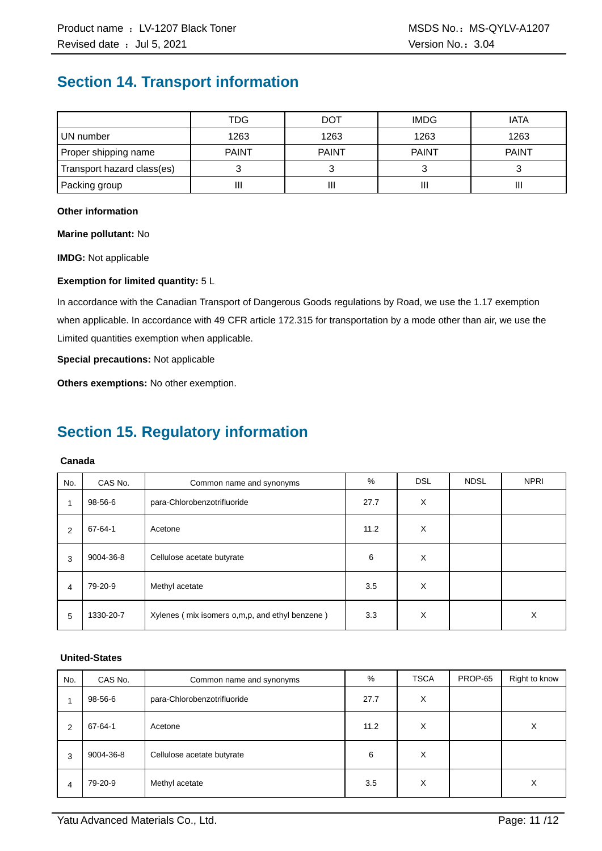### **Section 14. Transport information**

|                            | TDG          | <b>DOT</b>   | <b>IMDG</b>  | <b>IATA</b>  |
|----------------------------|--------------|--------------|--------------|--------------|
| UN number                  | 1263         | 1263         | 1263         | 1263         |
| Proper shipping name       | <b>PAINT</b> | <b>PAINT</b> | <b>PAINT</b> | <b>PAINT</b> |
| Transport hazard class(es) |              |              |              |              |
| Packing group              | н            | Ш            |              | Ш            |

#### **Other information**

**Marine pollutant:** No

**IMDG:** Not applicable

#### **Exemption for limited quantity:** 5 L

In accordance with the Canadian Transport of Dangerous Goods regulations by Road, we use the 1.17 exemption when applicable. In accordance with 49 CFR article 172.315 for transportation by a mode other than air, we use the Limited quantities exemption when applicable.

**Special precautions:** Not applicable

**Others exemptions:** No other exemption.

### **Section 15. Regulatory information**

#### **Canada**

| No.            | CAS No.   | Common name and synonyms                       | %    | <b>DSL</b> | <b>NDSL</b> | <b>NPRI</b> |
|----------------|-----------|------------------------------------------------|------|------------|-------------|-------------|
| 1              | 98-56-6   | para-Chlorobenzotrifluoride                    | 27.7 | X          |             |             |
| $\overline{2}$ | 67-64-1   | Acetone                                        | 11.2 | X          |             |             |
| 3              | 9004-36-8 | Cellulose acetate butyrate                     | 6    | X          |             |             |
| 4              | 79-20-9   | Methyl acetate                                 | 3.5  | X          |             |             |
| 5              | 1330-20-7 | Xylenes (mix isomers o,m,p, and ethyl benzene) | 3.3  | X          |             | Х           |

#### **United-States**

| No. | CAS No.   | Common name and synonyms    | %    | <b>TSCA</b> | PROP-65 | Right to know |
|-----|-----------|-----------------------------|------|-------------|---------|---------------|
|     | 98-56-6   | para-Chlorobenzotrifluoride | 27.7 | X           |         |               |
| 2   | 67-64-1   | Acetone                     | 11.2 | X           |         | х             |
| 3   | 9004-36-8 | Cellulose acetate butyrate  | 6    | X           |         |               |
| 4   | 79-20-9   | Methyl acetate              | 3.5  | X           |         | х             |